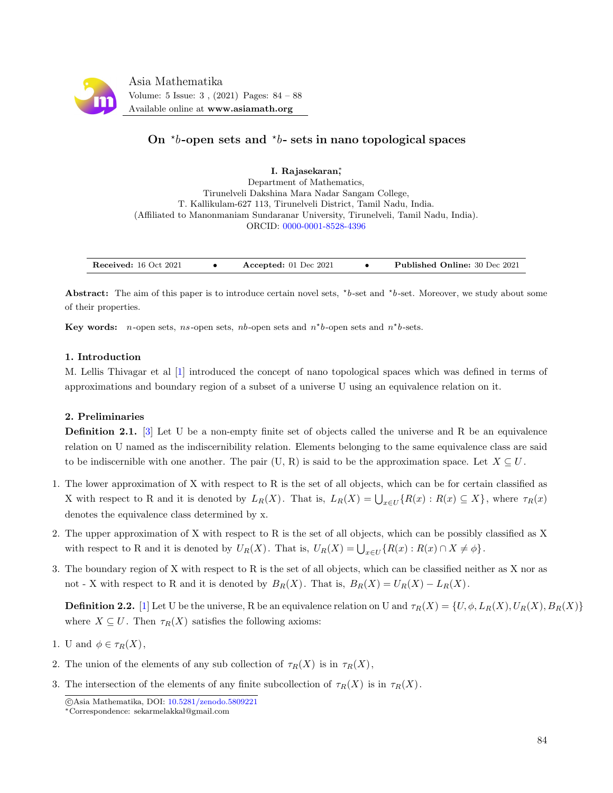

# On  $\star b$ -open sets and  $\star b$ - sets in nano topological spaces

I. Rajasekaran<sup>\*</sup>, Department of Mathematics, Tirunelveli Dakshina Mara Nadar Sangam College, T. Kallikulam-627 113, Tirunelveli District, Tamil Nadu, India. (Affiliated to Manonmaniam Sundaranar University, Tirunelveli, Tamil Nadu, India). ORCID: [0000-0001-8528-4396](https://orcid.org/0000-0001-8528-4396)

Abstract: The aim of this paper is to introduce certain novel sets,  $*b$ -set and  $*b$ -set. Moreover, we study about some of their properties.

Key words: *n*-open sets, *ns*-open sets, *nb*-open sets and  $n<sup>*</sup>b$ -open sets and  $n<sup>*</sup>b$ -sets.

# 1. Introduction

M. Lellis Thivagar et al [\[1\]](#page-4-0) introduced the concept of nano topological spaces which was defined in terms of approximations and boundary region of a subset of a universe U using an equivalence relation on it.

# 2. Preliminaries

**Definition 2.1.** [\[3\]](#page-4-1) Let U be a non-empty finite set of objects called the universe and R be an equivalence relation on U named as the indiscernibility relation. Elements belonging to the same equivalence class are said to be indiscernible with one another. The pair (U, R) is said to be the approximation space. Let  $X \subseteq U$ .

- 1. The lower approximation of X with respect to R is the set of all objects, which can be for certain classified as X with respect to R and it is denoted by  $L_R(X)$ . That is,  $L_R(X) = \bigcup_{x \in U} \{ R(x) : R(x) \subseteq X \}$ , where  $\tau_R(x)$ denotes the equivalence class determined by x.
- 2. The upper approximation of X with respect to R is the set of all objects, which can be possibly classified as X with respect to R and it is denoted by  $U_R(X)$ . That is,  $U_R(X) = \bigcup_{x \in U} \{R(x) : R(x) \cap X \neq \emptyset\}$ .
- 3. The boundary region of X with respect to R is the set of all objects, which can be classified neither as X nor as not - X with respect to R and it is denoted by  $B_R(X)$ . That is,  $B_R(X) = U_R(X) - L_R(X)$ .

**Definition 2.2.** [\[1\]](#page-4-0) Let U be the universe, R be an equivalence relation on U and  $\tau_R(X) = \{U, \phi, L_R(X), U_R(X), B_R(X)\}$ where  $X \subseteq U$ . Then  $\tau_R(X)$  satisfies the following axioms:

- 1. U and  $\phi \in \tau_R(X)$ ,
- 2. The union of the elements of any sub collection of  $\tau_R(X)$  is in  $\tau_R(X)$ ,
- 3. The intersection of the elements of any finite subcollection of  $\tau_R(X)$  is in  $\tau_R(X)$ .

c Asia Mathematika, DOI: [10.5281/zenodo.5809221](http://www.asiamath.org/article/vol5iss3/AM-2112-3006.pdf)

<sup>∗</sup>Correspondence: sekarmelakkal@gmail.com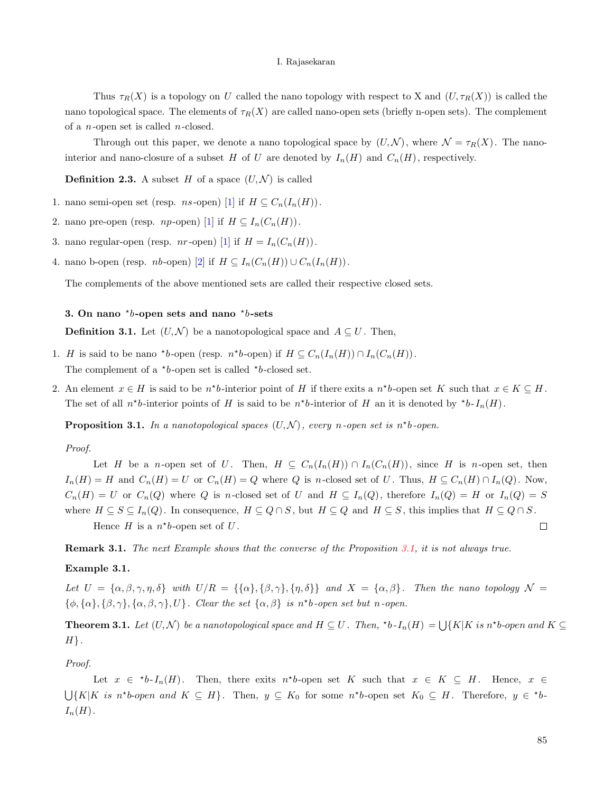Thus  $\tau_R(X)$  is a topology on U called the nano topology with respect to X and  $(U, \tau_R(X))$  is called the nano topological space. The elements of  $\tau_R(X)$  are called nano-open sets (briefly n-open sets). The complement of a  $n$ -open set is called  $n$ -closed.

Through out this paper, we denote a nano topological space by  $(U, \mathcal{N})$ , where  $\mathcal{N} = \tau_R(X)$ . The nanointerior and nano-closure of a subset H of U are denoted by  $I_n(H)$  and  $C_n(H)$ , respectively.

**Definition 2.3.** A subset H of a space  $(U, \mathcal{N})$  is called

- 1. nano semi-open set (resp. *ns*-open) [\[1\]](#page-4-0) if  $H \subseteq C_n(I_n(H))$ .
- 2. nano pre-open (resp. *np*-open) [\[1\]](#page-4-0) if  $H \subseteq I_n(C_n(H))$ .
- 3. nano regular-open (resp. *nr*-open) [\[1\]](#page-4-0) if  $H = I_n(C_n(H)).$
- 4. nano b-open (resp. *nb*-open) [\[2\]](#page-4-2) if  $H \subseteq I_n(C_n(H)) \cup C_n(I_n(H))$ .

The complements of the above mentioned sets are called their respective closed sets.

# 3. On nano  $b$ -open sets and nano  $\lambda$ b-sets

**Definition 3.1.** Let  $(U, \mathcal{N})$  be a nanotopological space and  $A \subseteq U$ . Then,

- 1. H is said to be nano \*b-open (resp.  $n^*b$ -open) if  $H \subseteq C_n(I_n(H)) \cap I_n(C_n(H))$ . The complement of a  $\star b$ -open set is called  $\star b$ -closed set.
- 2. An element  $x \in H$  is said to be  $n^*b$ -interior point of H if there exits a  $n^*b$ -open set K such that  $x \in K \subseteq H$ . The set of all  $n^*b$ -interior points of H is said to be  $n^*b$ -interior of H an it is denoted by  $^*b$ - $I_n(H)$ .

<span id="page-1-0"></span>**Proposition 3.1.** In a nanotopological spaces  $(U, \mathcal{N})$ , every n-open set is n<sup>\*</sup>b-open.

#### Proof.

Let H be a n-open set of U. Then,  $H \subseteq C_n(I_n(H)) \cap I_n(C_n(H))$ , since H is n-open set, then  $I_n(H) = H$  and  $C_n(H) = U$  or  $C_n(H) = Q$  where Q is n-closed set of U. Thus,  $H \subseteq C_n(H) \cap I_n(Q)$ . Now,  $C_n(H) = U$  or  $C_n(Q)$  where Q is n-closed set of U and  $H \subseteq I_n(Q)$ , therefore  $I_n(Q) = H$  or  $I_n(Q) = S$ where  $H \subseteq S \subseteq I_n(Q)$ . In consequence,  $H \subseteq Q \cap S$ , but  $H \subseteq Q$  and  $H \subseteq S$ , this implies that  $H \subseteq Q \cap S$ . Hence  $H$  is a  $n * b$ -open set of  $U$ .  $\Box$ 

Remark 3.1. The next Example shows that the converse of the Proposition [3.1,](#page-1-0) it is not always true.

#### <span id="page-1-1"></span>Example 3.1.

Let  $U = {\alpha, \beta, \gamma, \eta, \delta}$  with  $U/R = {\{\alpha\}, {\{\beta, \gamma\}, {\{\eta, \delta\}}\}}$  and  $X = {\alpha, \beta\}}$ . Then the nano topology  $\mathcal{N} =$  $\{\phi, \{\alpha\}, \{\beta, \gamma\}, \{\alpha, \beta, \gamma\}, U\}$ . Clear the set  $\{\alpha, \beta\}$  is n<sup>\*</sup>b-open set but n-open.

**Theorem 3.1.** Let  $(U, \mathcal{N})$  be a nanotopological space and  $H \subseteq U$ . Then, \*b- $I_n(H) = \bigcup \{K|K \text{ is } n^*b\text{-open and } K \subseteq U\}$  $H$ .

Proof.

Let  $x \in {}^{\star}b$ - $I_n(H)$ . Then, there exits  $n^{\star}b$ -open set K such that  $x \in K \subseteq H$ . Hence,  $x \in$  $\bigcup \{K|K \text{ is } n^*b\text{-open and } K \subseteq H\}$ . Then,  $y \subseteq K_0$  for some  $n^*b\text{-open set } K_0 \subseteq H$ . Therefore,  $y \in {}^*b\text{-open}$  $I_n(H)$ .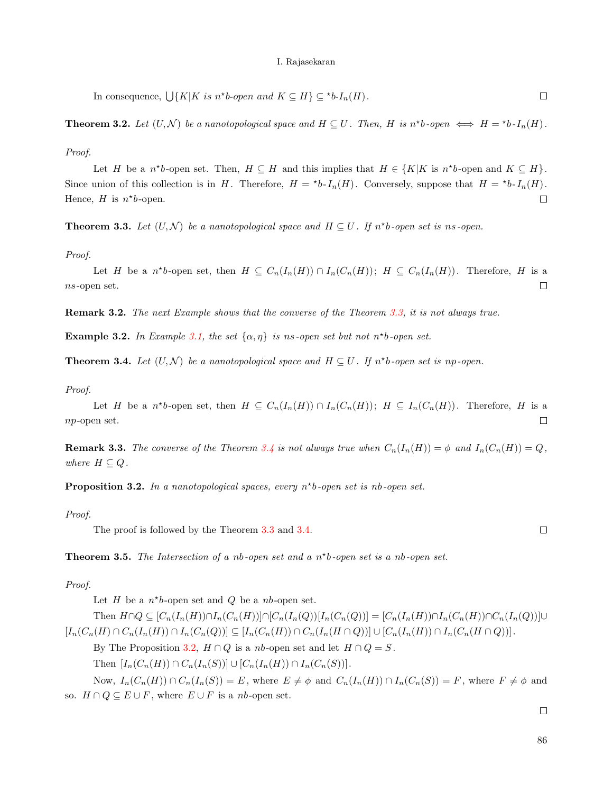In consequence,  $\bigcup \{ K | K \text{ is } n^*b\text{-open and } K \subseteq H \} \subseteq {}^{\star}b\text{-}I_n(H)$ .  $\Box$ 

**Theorem 3.2.** Let  $(U, \mathcal{N})$  be a nanotopological space and  $H \subseteq U$ . Then, H is n\*b-open  $\iff H = *b \cdot I_n(H)$ .

Proof.

Let H be a  $n^*b$ -open set. Then,  $H \subseteq H$  and this implies that  $H \in \{K|K \text{ is } n^*b$ -open and  $K \subseteq H\}$ . Since union of this collection is in H. Therefore,  $H = *bI_n(H)$ . Conversely, suppose that  $H = *bI_n(H)$ . Hence,  $H$  is  $n^*b$ -open.  $\Box$ 

<span id="page-2-0"></span>**Theorem 3.3.** Let  $(U, \mathcal{N})$  be a nanotopological space and  $H \subseteq U$ . If  $n^*b$ -open set is ns-open.

Proof.

Let H be a  $n^*b$ -open set, then  $H \subseteq C_n(I_n(H)) \cap I_n(C_n(H))$ ;  $H \subseteq C_n(I_n(H))$ . Therefore, H is a  $\emph{ns-open set.$  $\Box$ 

Remark 3.2. The next Example shows that the converse of the Theorem [3.3,](#page-2-0) it is not always true.

**Example 3.2.** In Example [3.1,](#page-1-1) the set  $\{\alpha, \eta\}$  is ns-open set but not  $n^*b$ -open set.

<span id="page-2-1"></span>**Theorem 3.4.** Let  $(U, \mathcal{N})$  be a nanotopological space and  $H \subseteq U$ . If  $n^*b$ -open set is np-open.

#### Proof.

Let H be a  $n^*b$ -open set, then  $H \subseteq C_n(I_n(H)) \cap I_n(C_n(H))$ ;  $H \subseteq I_n(C_n(H))$ . Therefore, H is a np-open set.  $\Box$ 

**Remark 3.3.** The converse of the Theorem [3.4](#page-2-1) is not always true when  $C_n(I_n(H)) = \phi$  and  $I_n(C_n(H)) = Q$ , where  $H \subseteq Q$ .

<span id="page-2-2"></span>**Proposition 3.2.** In a nanotopological spaces, every  $n<sup>*</sup>$ b-open set is nb-open set.

# Proof.

The proof is followed by the Theorem [3.3](#page-2-0) and [3.4.](#page-2-1)

**Theorem 3.5.** The Intersection of a nb-open set and a  $n<sup>*</sup>$ b-open set is a nb-open set.

### Proof.

Let  $H$  be a  $n^*b$ -open set and  $Q$  be a nb-open set.

Then  $H \cap Q \subseteq [C_n(I_n(H)) \cap I_n(C_n(H))] \cap [C_n(I_n(Q))[I_n(C_n(Q))] = [C_n(I_n(H)) \cap I_n(C_n(H))] \cap C_n(I_n(Q))]$  $[I_n(C_n(H) \cap C_n(I_n(H)) \cap I_n(C_n(Q))] \subseteq [I_n(C_n(H)) \cap C_n(I_n(H \cap Q))] \cup [C_n(I_n(H)) \cap I_n(C_n(H \cap Q))]$ .

By The Proposition [3.2,](#page-2-2)  $H \cap Q$  is a nb-open set and let  $H \cap Q = S$ .

Then  $[I_n(C_n(H)) \cap C_n(I_n(S))] \cup [C_n(I_n(H)) \cap I_n(C_n(S))].$ 

Now,  $I_n(C_n(H)) \cap C_n(I_n(S)) = E$ , where  $E \neq \phi$  and  $C_n(I_n(H)) \cap I_n(C_n(S)) = F$ , where  $F \neq \phi$  and so.  $H \cap Q \subseteq E \cup F$ , where  $E \cup F$  is a nb-open set.

 $\Box$ 

 $\Box$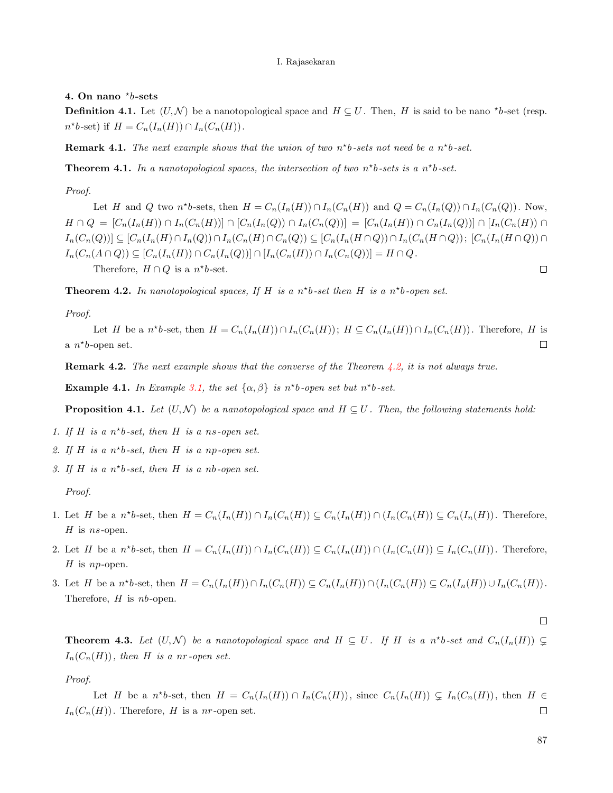# 4. On nano  $b$ -sets

**Definition 4.1.** Let  $(U, \mathcal{N})$  be a nanotopological space and  $H \subseteq U$ . Then, H is said to be nano \*b-set (resp.  $n^*b$ -set) if  $H = C_n(I_n(H)) \cap I_n(C_n(H)).$ 

**Remark 4.1.** The next example shows that the union of two  $n<sup>*</sup>b$ -sets not need be a  $n<sup>*</sup>b$ -set.

**Theorem 4.1.** In a nanotopological spaces, the intersection of two  $n<sup>*</sup>b-sets$  is a  $n<sup>*</sup>b-set$ .

Proof.

Let H and Q two  $n^*b$ -sets, then  $H = C_n(I_n(H)) \cap I_n(C_n(H))$  and  $Q = C_n(I_n(Q)) \cap I_n(C_n(Q))$ . Now,  $H \cap Q = [C_n(I_n(H)) \cap I_n(C_n(H))] \cap [C_n(I_n(Q)) \cap I_n(C_n(Q))] = [C_n(I_n(H)) \cap C_n(I_n(Q))] \cap [I_n(C_n(H)) \cap I_n(C_n(H))]$  $I_n(C_n(Q))] \subseteq [C_n(I_n(H) \cap I_n(Q)) \cap I_n(C_n(H) \cap C_n(Q)) \subseteq [C_n(I_n(H \cap Q)) \cap I_n(C_n(H \cap Q)); [C_n(I_n(H \cap Q)) \cap I_n(C_n(H \cap Q))]$  $I_n(C_n(A \cap Q)) \subseteq [C_n(I_n(H)) \cap C_n(I_n(Q))] \cap [I_n(C_n(H)) \cap I_n(C_n(Q))] = H \cap Q.$ Therefore,  $H \cap Q$  is a  $n^*b$ -set.  $\Box$ 

<span id="page-3-0"></span>**Theorem 4.2.** In nanotopological spaces, If H is a  $n<sup>*</sup>b$ -set then H is a  $n<sup>*</sup>b$ -open set.

Proof.

Let H be a  $n^*b$ -set, then  $H = C_n(I_n(H)) \cap I_n(C_n(H))$ ;  $H \subseteq C_n(I_n(H)) \cap I_n(C_n(H))$ . Therefore, H is a  $n^*b$ -open set.  $\Box$ 

**Remark 4.2.** The next example shows that the converse of the Theorem  $\angle 4.2$ , it is not always true.

Example 4.1. In Example [3.1,](#page-1-1) the set  $\{\alpha, \beta\}$  is n<sup>\*</sup>b-open set but n<sup>\*</sup>b-set.

**Proposition 4.1.** Let  $(U, \mathcal{N})$  be a nanotopological space and  $H \subseteq U$ . Then, the following statements hold:

- 1. If H is a  $n<sup>*</sup>b-set$ , then H is a ns-open set.
- 2. If H is a  $n^*b$ -set, then H is a np-open set.
- 3. If H is a  $n<sup>*</sup>b-set$ , then H is a nb-open set.

Proof.

- 1. Let H be a  $n^*b$ -set, then  $H = C_n(I_n(H)) \cap I_n(C_n(H)) \subseteq C_n(I_n(H)) \cap (I_n(C_n(H)) \subseteq C_n(I_n(H))$ . Therefore,  $H$  is *ns*-open.
- 2. Let H be a  $n^*b$ -set, then  $H = C_n(I_n(H)) \cap I_n(C_n(H)) \subseteq C_n(I_n(H)) \cap (I_n(C_n(H)) \subseteq I_n(C_n(H))$ . Therefore, H is *np*-open.
- 3. Let H be a  $n^*b$ -set, then  $H = C_n(I_n(H)) \cap I_n(C_n(H)) \subseteq C_n(I_n(H)) \cap (I_n(C_n(H)) \subseteq C_n(I_n(H)) \cup I_n(C_n(H))$ . Therefore,  $H$  is  $nb$ -open.

**Theorem 4.3.** Let  $(U, \mathcal{N})$  be a nanotopological space and  $H \subseteq U$ . If H is a n<sup>\*</sup>b-set and  $C_n(I_n(H)) \subsetneq$  $I_n(C_n(H))$ , then H is a nr-open set.

Proof.

Let H be a  $n^*b$ -set, then  $H = C_n(I_n(H)) \cap I_n(C_n(H))$ , since  $C_n(I_n(H)) \subsetneq I_n(C_n(H))$ , then  $H \in$  $I_n(C_n(H))$ . Therefore, H is a nr-open set.  $\Box$ 

87

 $\Box$